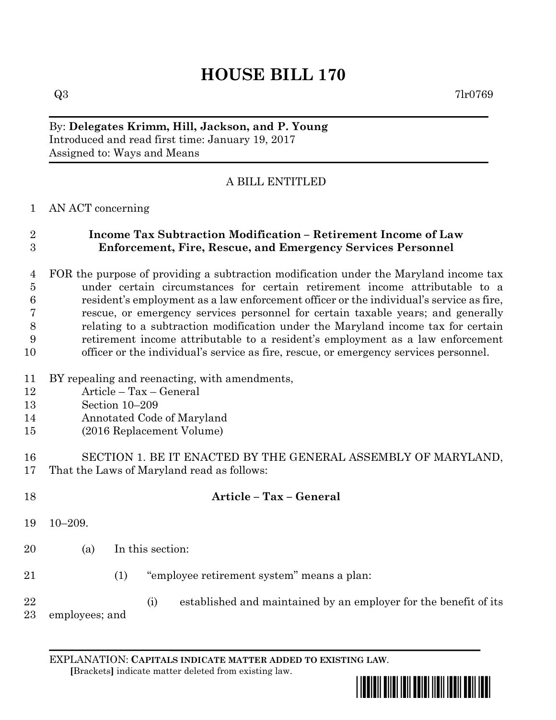# **HOUSE BILL 170**

 $Q3 \hspace{2.5cm} 7\text{l} \text{r} 0769$ 

## By: **Delegates Krimm, Hill, Jackson, and P. Young** Introduced and read first time: January 19, 2017 Assigned to: Ways and Means

# A BILL ENTITLED

#### AN ACT concerning

#### **Income Tax Subtraction Modification – Retirement Income of Law Enforcement, Fire, Rescue, and Emergency Services Personnel**

 FOR the purpose of providing a subtraction modification under the Maryland income tax under certain circumstances for certain retirement income attributable to a resident's employment as a law enforcement officer or the individual's service as fire, rescue, or emergency services personnel for certain taxable years; and generally relating to a subtraction modification under the Maryland income tax for certain retirement income attributable to a resident's employment as a law enforcement officer or the individual's service as fire, rescue, or emergency services personnel.

- BY repealing and reenacting, with amendments,
- Article Tax General
- Section 10–209
- Annotated Code of Maryland
- (2016 Replacement Volume)

## SECTION 1. BE IT ENACTED BY THE GENERAL ASSEMBLY OF MARYLAND, That the Laws of Maryland read as follows:

- **Article – Tax – General** 10–209. (a) In this section: (1) "employee retirement system" means a plan:
	- (i) established and maintained by an employer for the benefit of its

employees; and

EXPLANATION: **CAPITALS INDICATE MATTER ADDED TO EXISTING LAW**.  **[**Brackets**]** indicate matter deleted from existing law.

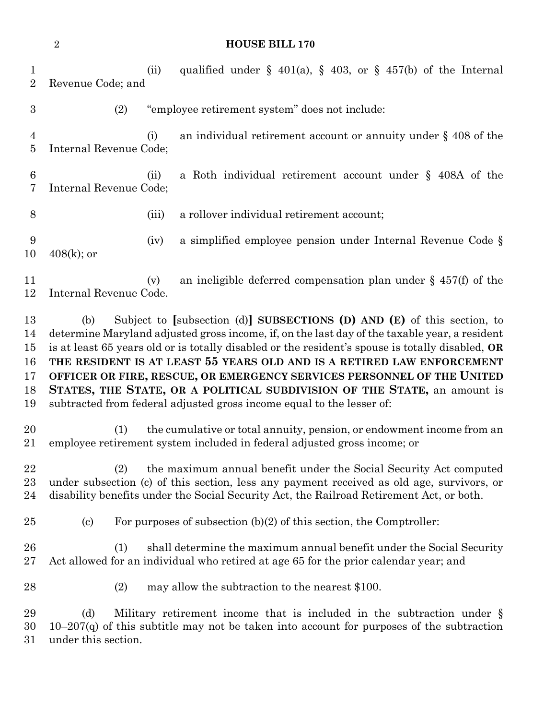|                                        | $\sqrt{2}$<br><b>HOUSE BILL 170</b>                                                                                                                                                                                                                                                                                                                                                                                                                                                                                                                                                            |       |                                                                                                                                                                         |  |
|----------------------------------------|------------------------------------------------------------------------------------------------------------------------------------------------------------------------------------------------------------------------------------------------------------------------------------------------------------------------------------------------------------------------------------------------------------------------------------------------------------------------------------------------------------------------------------------------------------------------------------------------|-------|-------------------------------------------------------------------------------------------------------------------------------------------------------------------------|--|
| $\mathbf{1}$<br>$\overline{2}$         | Revenue Code; and                                                                                                                                                                                                                                                                                                                                                                                                                                                                                                                                                                              | (ii)  | qualified under $\S$ 401(a), $\S$ 403, or $\S$ 457(b) of the Internal                                                                                                   |  |
| 3                                      |                                                                                                                                                                                                                                                                                                                                                                                                                                                                                                                                                                                                | (2)   | "employee retirement system" does not include:                                                                                                                          |  |
| 4<br>$\overline{5}$                    | Internal Revenue Code;                                                                                                                                                                                                                                                                                                                                                                                                                                                                                                                                                                         | (i)   | an individual retirement account or annuity under $\S$ 408 of the                                                                                                       |  |
| 6<br>7                                 | Internal Revenue Code;                                                                                                                                                                                                                                                                                                                                                                                                                                                                                                                                                                         | (ii)  | a Roth individual retirement account under $\S$ 408A of the                                                                                                             |  |
| 8                                      |                                                                                                                                                                                                                                                                                                                                                                                                                                                                                                                                                                                                | (iii) | a rollover individual retirement account;                                                                                                                               |  |
| 9<br>10                                | $408(k)$ ; or                                                                                                                                                                                                                                                                                                                                                                                                                                                                                                                                                                                  | (iv)  | a simplified employee pension under Internal Revenue Code §                                                                                                             |  |
| 11<br>12                               | Internal Revenue Code.                                                                                                                                                                                                                                                                                                                                                                                                                                                                                                                                                                         | (v)   | an ineligible deferred compensation plan under $\S$ 457(f) of the                                                                                                       |  |
| 13<br>14<br>15<br>16<br>17<br>18<br>19 | Subject to [subsection (d)] SUBSECTIONS (D) AND $(E)$ of this section, to<br>(b)<br>determine Maryland adjusted gross income, if, on the last day of the taxable year, a resident<br>is at least 65 years old or is totally disabled or the resident's spouse is totally disabled, OR<br>THE RESIDENT IS AT LEAST 55 YEARS OLD AND IS A RETIRED LAW ENFORCEMENT<br>OFFICER OR FIRE, RESCUE, OR EMERGENCY SERVICES PERSONNEL OF THE UNITED<br>STATES, THE STATE, OR A POLITICAL SUBDIVISION OF THE STATE, an amount is<br>subtracted from federal adjusted gross income equal to the lesser of: |       |                                                                                                                                                                         |  |
| 20<br>21                               |                                                                                                                                                                                                                                                                                                                                                                                                                                                                                                                                                                                                | (1)   | the cumulative or total annuity, pension, or endowment income from an<br>employee retirement system included in federal adjusted gross income; or                       |  |
| 22<br>23<br>24                         | the maximum annual benefit under the Social Security Act computed<br>(2)<br>under subsection (c) of this section, less any payment received as old age, survivors, or<br>disability benefits under the Social Security Act, the Railroad Retirement Act, or both.                                                                                                                                                                                                                                                                                                                              |       |                                                                                                                                                                         |  |
| 25                                     | $\left( \mathrm{c}\right)$                                                                                                                                                                                                                                                                                                                                                                                                                                                                                                                                                                     |       | For purposes of subsection $(b)(2)$ of this section, the Comptroller:                                                                                                   |  |
| 26<br>27                               |                                                                                                                                                                                                                                                                                                                                                                                                                                                                                                                                                                                                | (1)   | shall determine the maximum annual benefit under the Social Security<br>Act allowed for an individual who retired at age 65 for the prior calendar year; and            |  |
| 28                                     |                                                                                                                                                                                                                                                                                                                                                                                                                                                                                                                                                                                                | (2)   | may allow the subtraction to the nearest \$100.                                                                                                                         |  |
| 29<br>30<br>31                         | (d)<br>under this section.                                                                                                                                                                                                                                                                                                                                                                                                                                                                                                                                                                     |       | Military retirement income that is included in the subtraction under $\S$<br>$10-207(q)$ of this subtitle may not be taken into account for purposes of the subtraction |  |